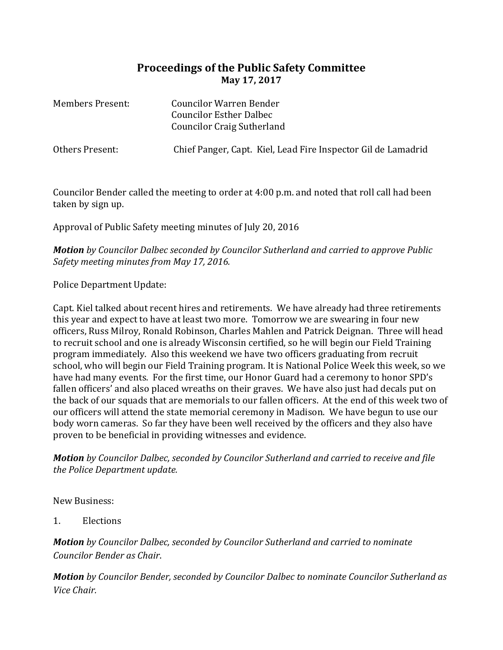## **Proceedings of the Public Safety Committee May 17, 2017**

| <b>Members Present:</b> | Councilor Warren Bender<br><b>Councilor Esther Dalbec</b><br><b>Councilor Craig Sutherland</b> |
|-------------------------|------------------------------------------------------------------------------------------------|
| Others Present:         | Chief Panger, Capt. Kiel, Lead Fire Inspector Gil de Lamadrid                                  |

Councilor Bender called the meeting to order at 4:00 p.m. and noted that roll call had been taken by sign up.

Approval of Public Safety meeting minutes of July 20, 2016

*Motion by Councilor Dalbec seconded by Councilor Sutherland and carried to approve Public Safety meeting minutes from May 17, 2016.*

Police Department Update:

Capt. Kiel talked about recent hires and retirements. We have already had three retirements this year and expect to have at least two more. Tomorrow we are swearing in four new officers, Russ Milroy, Ronald Robinson, Charles Mahlen and Patrick Deignan. Three will head to recruit school and one is already Wisconsin certified, so he will begin our Field Training program immediately. Also this weekend we have two officers graduating from recruit school, who will begin our Field Training program. It is National Police Week this week, so we have had many events. For the first time, our Honor Guard had a ceremony to honor SPD's fallen officers' and also placed wreaths on their graves. We have also just had decals put on the back of our squads that are memorials to our fallen officers. At the end of this week two of our officers will attend the state memorial ceremony in Madison. We have begun to use our body worn cameras. So far they have been well received by the officers and they also have proven to be beneficial in providing witnesses and evidence.

*Motion by Councilor Dalbec, seconded by Councilor Sutherland and carried to receive and file the Police Department update.* 

New Business:

1. Elections

*Motion by Councilor Dalbec, seconded by Councilor Sutherland and carried to nominate Councilor Bender as Chair*.

*Motion by Councilor Bender, seconded by Councilor Dalbec to nominate Councilor Sutherland as Vice Chair.*